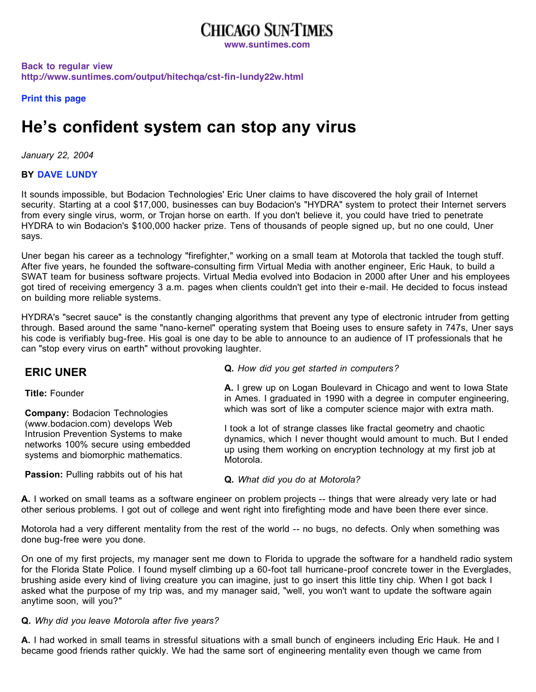## **CHICAGO SUN-TIMES**

**www.suntimes.com**

**Back to regular view http://www.suntimes.com/output/hitechqa/cst-fin-lundy22w.html**

**Print this page**

# **He's confident system can stop any virus**

*January 22, 2004*

### **BY DAVE LUNDY**

It sounds impossible, but Bodacion Technologies' Eric Uner claims to have discovered the holy grail of Internet security. Starting at a cool \$17,000, businesses can buy Bodacion's "HYDRA" system to protect their Internet servers from every single virus, worm, or Trojan horse on earth. If you don't believe it, you could have tried to penetrate HYDRA to win Bodacion's \$100,000 hacker prize. Tens of thousands of people signed up, but no one could, Uner says.

Uner began his career as a technology "firefighter," working on a small team at Motorola that tackled the tough stuff. After five years, he founded the software-consulting firm Virtual Media with another engineer, Eric Hauk, to build a SWAT team for business software projects. Virtual Media evolved into Bodacion in 2000 after Uner and his employees got tired of receiving emergency 3 a.m. pages when clients couldn't get into their e-mail. He decided to focus instead on building more reliable systems.

HYDRA's "secret sauce" is the constantly changing algorithms that prevent any type of electronic intruder from getting through. Based around the same "nano-kernel" operating system that Boeing uses to ensure safety in 747s, Uner says his code is verifiably bug-free. His goal is one day to be able to announce to an audience of IT professionals that he can "stop every virus on earth" without provoking laughter.

| <b>ERIC UNER</b>                                                                                                                                      | Q. How did you get started in computers?                                                                                                                                                                                 |
|-------------------------------------------------------------------------------------------------------------------------------------------------------|--------------------------------------------------------------------------------------------------------------------------------------------------------------------------------------------------------------------------|
| <b>Title: Founder</b>                                                                                                                                 | A. I grew up on Logan Boulevard in Chicago and went to Iowa State<br>in Ames. I graduated in 1990 with a degree in computer engineering,                                                                                 |
| <b>Company: Bodacion Technologies</b>                                                                                                                 | which was sort of like a computer science major with extra math.                                                                                                                                                         |
| (www.bodacion.com) develops Web<br>Intrusion Prevention Systems to make<br>networks 100% secure using embedded<br>systems and biomorphic mathematics. | I took a lot of strange classes like fractal geometry and chaotic<br>dynamics, which I never thought would amount to much. But I ended<br>up using them working on encryption technology at my first job at<br>Motorola. |
| <b>Passion:</b> Pulling rabbits out of his hat                                                                                                        | Q. What did you do at Motorola?                                                                                                                                                                                          |

**A.** I worked on small teams as a software engineer on problem projects -- things that were already very late or had other serious problems. I got out of college and went right into firefighting mode and have been there ever since.

Motorola had a very different mentality from the rest of the world -- no bugs, no defects. Only when something was done bug-free were you done.

On one of my first projects, my manager sent me down to Florida to upgrade the software for a handheld radio system for the Florida State Police. I found myself climbing up a 60-foot tall hurricane-proof concrete tower in the Everglades, brushing aside every kind of living creature you can imagine, just to go insert this little tiny chip. When I got back I asked what the purpose of my trip was, and my manager said, "well, you won't want to update the software again anytime soon, will you?"

#### **Q.** *Why did you leave Motorola after five years?*

**A.** I had worked in small teams in stressful situations with a small bunch of engineers including Eric Hauk. He and I became good friends rather quickly. We had the same sort of engineering mentality even though we came from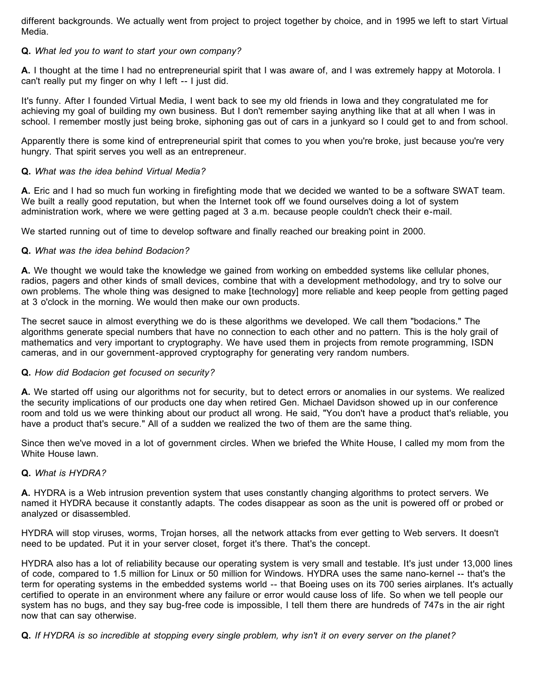different backgrounds. We actually went from project to project together by choice, and in 1995 we left to start Virtual Media.

#### **Q.** *What led you to want to start your own company?*

**A.** I thought at the time I had no entrepreneurial spirit that I was aware of, and I was extremely happy at Motorola. I can't really put my finger on why I left -- I just did.

It's funny. After I founded Virtual Media, I went back to see my old friends in Iowa and they congratulated me for achieving my goal of building my own business. But I don't remember saying anything like that at all when I was in school. I remember mostly just being broke, siphoning gas out of cars in a junkyard so I could get to and from school.

Apparently there is some kind of entrepreneurial spirit that comes to you when you're broke, just because you're very hungry. That spirit serves you well as an entrepreneur.

#### **Q.** *What was the idea behind Virtual Media?*

**A.** Eric and I had so much fun working in firefighting mode that we decided we wanted to be a software SWAT team. We built a really good reputation, but when the Internet took off we found ourselves doing a lot of system administration work, where we were getting paged at 3 a.m. because people couldn't check their e-mail.

We started running out of time to develop software and finally reached our breaking point in 2000.

#### **Q.** *What was the idea behind Bodacion?*

**A.** We thought we would take the knowledge we gained from working on embedded systems like cellular phones, radios, pagers and other kinds of small devices, combine that with a development methodology, and try to solve our own problems. The whole thing was designed to make [technology] more reliable and keep people from getting paged at 3 o'clock in the morning. We would then make our own products.

The secret sauce in almost everything we do is these algorithms we developed. We call them "bodacions." The algorithms generate special numbers that have no connection to each other and no pattern. This is the holy grail of mathematics and very important to cryptography. We have used them in projects from remote programming, ISDN cameras, and in our government-approved cryptography for generating very random numbers.

#### **Q.** *How did Bodacion get focused on security?*

**A.** We started off using our algorithms not for security, but to detect errors or anomalies in our systems. We realized the security implications of our products one day when retired Gen. Michael Davidson showed up in our conference room and told us we were thinking about our product all wrong. He said, "You don't have a product that's reliable, you have a product that's secure." All of a sudden we realized the two of them are the same thing.

Since then we've moved in a lot of government circles. When we briefed the White House, I called my mom from the White House lawn.

#### **Q.** *What is HYDRA?*

**A.** HYDRA is a Web intrusion prevention system that uses constantly changing algorithms to protect servers. We named it HYDRA because it constantly adapts. The codes disappear as soon as the unit is powered off or probed or analyzed or disassembled.

HYDRA will stop viruses, worms, Trojan horses, all the network attacks from ever getting to Web servers. It doesn't need to be updated. Put it in your server closet, forget it's there. That's the concept.

HYDRA also has a lot of reliability because our operating system is very small and testable. It's just under 13,000 lines of code, compared to 1.5 million for Linux or 50 million for Windows. HYDRA uses the same nano-kernel -- that's the term for operating systems in the embedded systems world -- that Boeing uses on its 700 series airplanes. It's actually certified to operate in an environment where any failure or error would cause loss of life. So when we tell people our system has no bugs, and they say bug-free code is impossible, I tell them there are hundreds of 747s in the air right now that can say otherwise.

Q. If HYDRA is so incredible at stopping every single problem, why isn't it on every server on the planet?